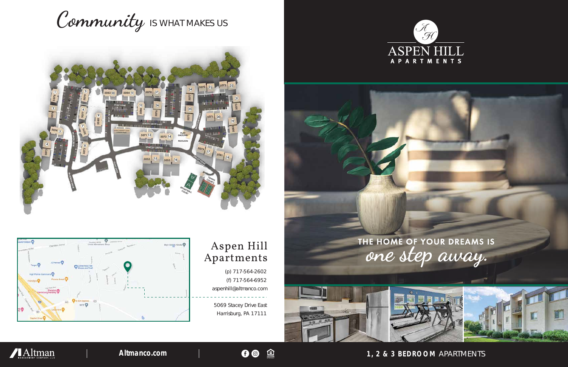**1, 2 & 3 BEDROOM** APARTMENTS

(p) 717-564-2602 (f) 717-564-6952 aspenhill@altmanco.com

5069 Stacey Drive East Harrisburg, PA 17111









## Aspen Hill Apartments

O <sup>e</sup>

# Community IS WHAT MAKES US